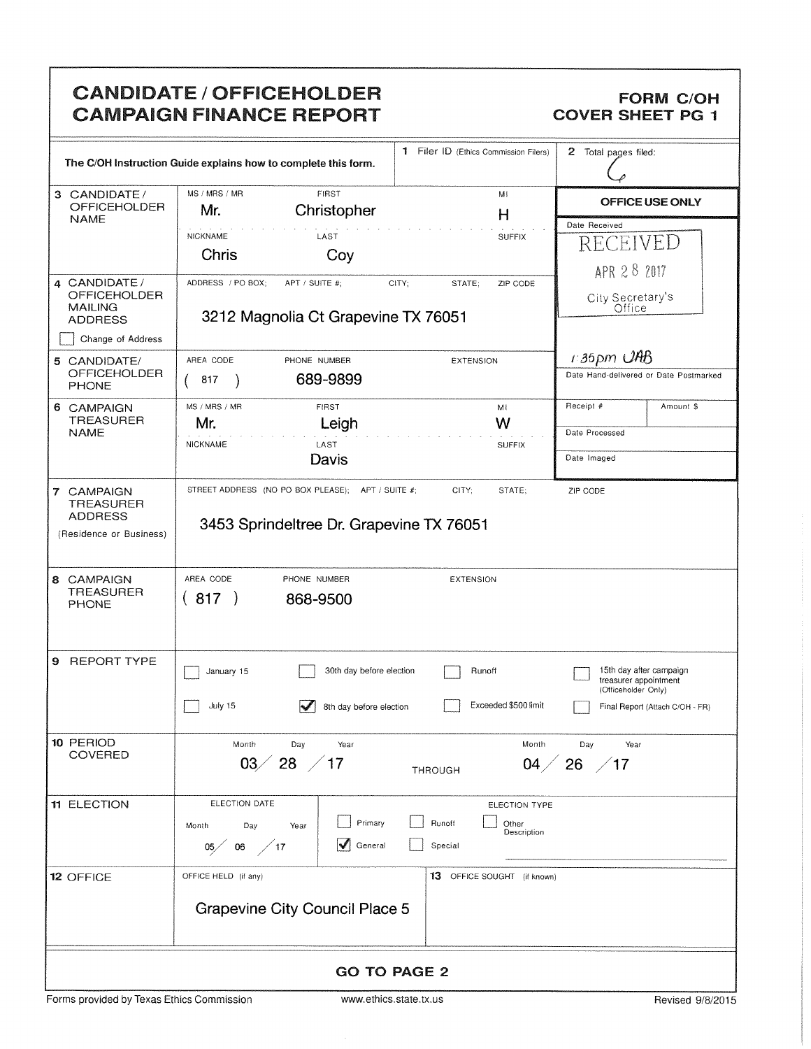## CANDIDATE / OFFICEHOLDER<br>
CAMPAIGN FINANCE REPORT COVER SHEET PG 1 **CAMPAIGN FINANCE REPORT**

|                                                                             | The C/OH Instruction Guide explains how to complete this form.                                |                          | 1 Filer ID (Ethics Commission Filers) | 2 Total pages filed:                         |                                        |  |
|-----------------------------------------------------------------------------|-----------------------------------------------------------------------------------------------|--------------------------|---------------------------------------|----------------------------------------------|----------------------------------------|--|
| 3 CANDIDATE/<br><b>OFFICEHOLDER</b>                                         | MS / MRS / MR<br>FIRST<br>Christopher<br>Mr.                                                  |                          | MI<br>$\mathsf{H}$                    | <b>OFFICE USE ONLY</b>                       |                                        |  |
| <b>NAME</b>                                                                 |                                                                                               |                          |                                       | Date Received                                |                                        |  |
|                                                                             | <b>NICKNAME</b><br>Chris                                                                      | LAST                     | <b>SUFFIX</b>                         | <b>RECEIVED</b>                              |                                        |  |
|                                                                             |                                                                                               | Coy                      |                                       | APR 28 2017                                  |                                        |  |
| 4 CANDIDATE/<br><b>OFFICEHOLDER</b><br><b>MAILING</b><br><b>ADDRESS</b>     | ADDRESS / PO BOX;<br>APT / SUITE #:<br>3212 Magnolia Ct Grapevine TX 76051                    | CITY;                    | STATE;<br>ZIP CODE                    | City Secretary's<br>Office                   |                                        |  |
| Change of Address                                                           |                                                                                               |                          |                                       |                                              |                                        |  |
| 5 CANDIDATE/                                                                | AREA CODE<br>PHONE NUMBER                                                                     |                          | <b>EXTENSION</b>                      | $1.35$ pm $\cup$ HB                          |                                        |  |
| <b>OFFICEHOLDER</b><br><b>PHONE</b>                                         | 817                                                                                           | 689-9899                 |                                       |                                              | Date Hand-delivered or Date Postmarked |  |
| 6 CAMPAIGN<br><b>TREASURER</b>                                              | MS / MRS / MR<br>Mr.                                                                          | <b>FIRST</b><br>Leigh    | MI<br>W                               | Receipt #                                    | Amount \$                              |  |
| <b>NAME</b>                                                                 | NICKNAME<br>LAST                                                                              | <b>SUFFIX</b>            | Date Processed                        |                                              |                                        |  |
|                                                                             |                                                                                               | Davis                    |                                       | Date Imaged                                  |                                        |  |
| 7 CAMPAIGN<br><b>TREASURER</b><br><b>ADDRESS</b><br>(Residence or Business) | STREET ADDRESS (NO PO BOX PLEASE); APT / SUITE #;<br>3453 Sprindeltree Dr. Grapevine TX 76051 |                          | CITY;<br>STATE:                       | ZIP CODE                                     |                                        |  |
| 8 CAMPAIGN<br><b>TREASURER</b><br><b>PHONE</b>                              | AREA CODE<br>PHONE NUMBER<br>(817)<br>868-9500                                                |                          | <b>EXTENSION</b>                      |                                              |                                        |  |
| <b>REPORT TYPE</b><br>9.                                                    | January 15                                                                                    | 30th day before election | Runoff                                | treasurer appointment<br>(Officeholder Only) | 15th day after campaign                |  |
|                                                                             | July 15                                                                                       | 8th day before election  | Exceeded \$500 limit                  |                                              | Final Report (Attach C/OH - FR)        |  |
| 10 PERIOD                                                                   | Month<br>Day                                                                                  | Year                     | Month                                 | Day<br>Year                                  |                                        |  |
| <b>COVERED</b>                                                              | $28 \; / 17$<br>03 <sub>2</sub>                                                               |                          | 04 <sub>2</sub><br><b>THROUGH</b>     | $26 \ \ /17$                                 |                                        |  |
| <b>11 ELECTION</b>                                                          | ELECTION DATE                                                                                 |                          | ELECTION TYPE                         |                                              |                                        |  |
|                                                                             | Day<br>Month<br>Year                                                                          | Primary                  | Runoff<br>Other<br>Description        |                                              |                                        |  |
|                                                                             | $\frac{1}{2}$ 17<br>06<br>05/                                                                 | General                  | Special                               |                                              |                                        |  |
| 12 OFFICE                                                                   | OFFICE HELD (if any)                                                                          |                          | 13 OFFICE SOUGHT (if known)           |                                              |                                        |  |
|                                                                             | <b>Grapevine City Council Place 5</b>                                                         |                          |                                       |                                              |                                        |  |
|                                                                             |                                                                                               | <b>GO TO PAGE 2</b>      |                                       |                                              |                                        |  |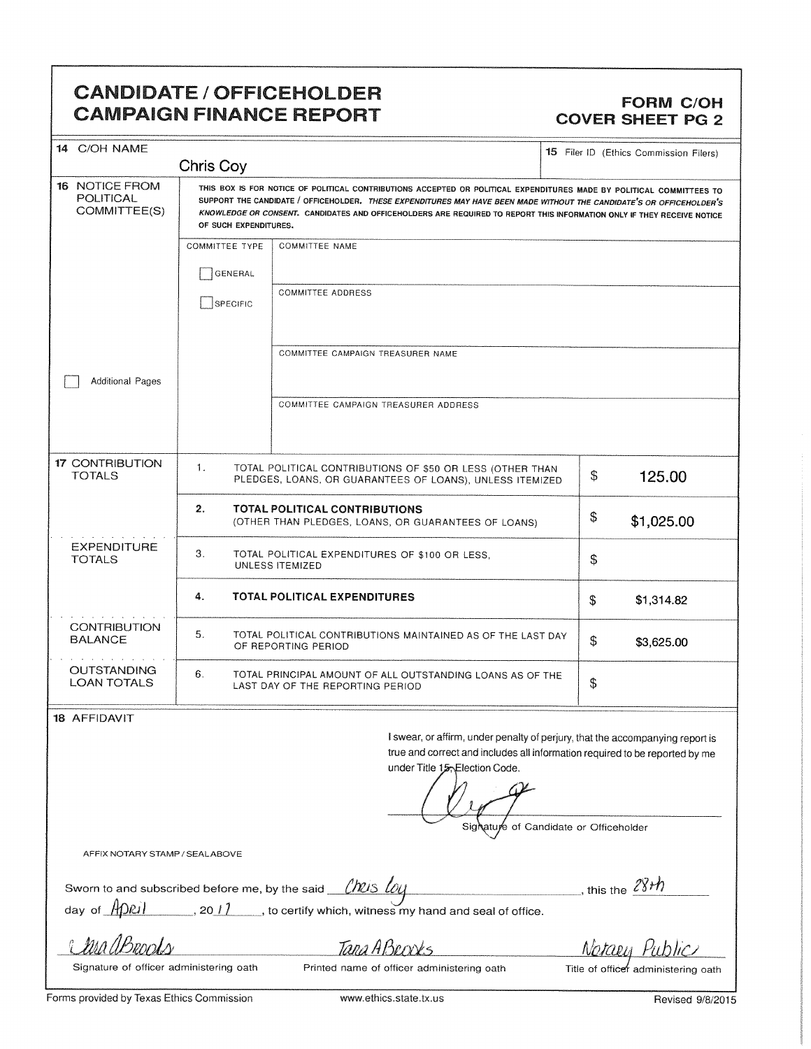### CANDIDATE / OFFICEHOLDER **CAMPAIGN FINANCE REPORT**

# FORM C/OH<br>COVER SHEET PG 2

| <b>CANDIDATE / OFFICEHOLDER</b><br><b>CAMPAIGN FINANCE REPORT</b>                 |                                                                                                                                                                                                                                                              | FORM C/OH<br>  COVER SHEET PG 2        |  |  |  |  |  |
|-----------------------------------------------------------------------------------|--------------------------------------------------------------------------------------------------------------------------------------------------------------------------------------------------------------------------------------------------------------|----------------------------------------|--|--|--|--|--|
| $14$ C/OH NAME                                                                    |                                                                                                                                                                                                                                                              | 15 Filer ID (Ethics Commission Filers) |  |  |  |  |  |
| Chris Coy<br>POLITICAL<br>COMMITTEE(S)                                            | 16 NOTICE FROM THIS BOX IS FOR NOTICE OF POLITICAL CONTRIBUTIONS ACCEPTED OR POLITICAL EXPENDITURES MADE BY POLITICAL COMMITTEES TO<br>SUPPORT THE CANDIDATE / OFFICEHOLDER. THESE EXPENDITURES MAY HAVE BEEN MADE WITHOUT THE CANDIDATE'S OR OFFICEHOLDER'S |                                        |  |  |  |  |  |
| OF SUCH EXPENDITURES.                                                             | KNOWLEDGE OR CONSENT. CANDIDATES AND OFFICEHOLDERS ARE REQUIRED TO REPORT THIS INFORMATION ONLY IF THEY RECEIVE NOTICE<br>COMMITTEE TYPE   COMMITTEE NAME                                                                                                    |                                        |  |  |  |  |  |
| GENERAL                                                                           | COMMITTEE ADDRESS                                                                                                                                                                                                                                            |                                        |  |  |  |  |  |
| SPECIFIC                                                                          |                                                                                                                                                                                                                                                              |                                        |  |  |  |  |  |
| Additional Pages                                                                  | COMMITTEE CAMPAIGN TREASURER NAME                                                                                                                                                                                                                            |                                        |  |  |  |  |  |
|                                                                                   | COMMITTEE CAMPAIGN TREASURER ADDRESS                                                                                                                                                                                                                         |                                        |  |  |  |  |  |
| 17 CONTRIBUTION<br>TOTALS                                                         | TOTAL POLITICAL CONTRIBUTIONS OF \$50 OR LESS (OTHER THAN<br>PLEDGES, LOANS, OR GUARANTEES OF LOANS), UNLESS ITEMIZED                                                                                                                                        | 125.00                                 |  |  |  |  |  |
|                                                                                   | TOTAL POLITICAL CONTRIBUTIONS<br>(OTHER THAN PLEDGES, LOANS, OR GUARANTEES OF LOANS)                                                                                                                                                                         | \$1,025.00                             |  |  |  |  |  |
| EXPENDITURE<br>TOTALS                                                             | TOTAL POLITICAL EXPENDITURES OF \$100 OR LESS,<br>UNLESS ITEMIZED                                                                                                                                                                                            |                                        |  |  |  |  |  |
|                                                                                   | TOTAL POLITICAL EXPENDITURES                                                                                                                                                                                                                                 | \$1,314.82                             |  |  |  |  |  |
| <b>CONTRIBUTION</b><br><b>BALANCE</b>                                             | TOTAL POLITICAL CONTRIBUTIONS MAINTAINED AS OF THE LAST DAY $\parallel$<br>OF REPORTING PERIOD                                                                                                                                                               | \$3,625.00                             |  |  |  |  |  |
| OUTSTANDING<br><b>LOAN TOTALS</b>                                                 | TOTAL PRINCIPAL AMOUNT OF ALL OUTSTANDING LOANS AS OF THE<br>LAST DAY OF THE REPORTING PERIOD                                                                                                                                                                |                                        |  |  |  |  |  |
| 18 AFFIDAVIT                                                                      | I swear, or affirm, under penalty of perjury, that the accompanying report is                                                                                                                                                                                |                                        |  |  |  |  |  |
|                                                                                   | true and correct and includes all information required to be reported by me<br>under Title 15, Election Code.                                                                                                                                                |                                        |  |  |  |  |  |
|                                                                                   | $ +$ $+$ $+$<br>Signature of Candidate or Officeholder                                                                                                                                                                                                       |                                        |  |  |  |  |  |
| AFFIX NOTARY STAMP / SEALABOVE                                                    |                                                                                                                                                                                                                                                              |                                        |  |  |  |  |  |
| Sworn to and subscribed before me, by the said __________________________________ | day of $\frac{A[\text{Omega}]}{B}$ , 2011 , to certify which, witness my hand and seal of office.                                                                                                                                                            | this the $\frac{28+h}{h}$              |  |  |  |  |  |
| Chra Decods Tara ABrooks                                                          |                                                                                                                                                                                                                                                              | Notaey Public                          |  |  |  |  |  |
| Forms provided by Texas Ethics Commission                                         | Signature of officer administering oath Printed name of officer administering oath Title of officer administering oath<br>www.ethics.state.tx.us                                                                                                             | Revised 9/8/2015                       |  |  |  |  |  |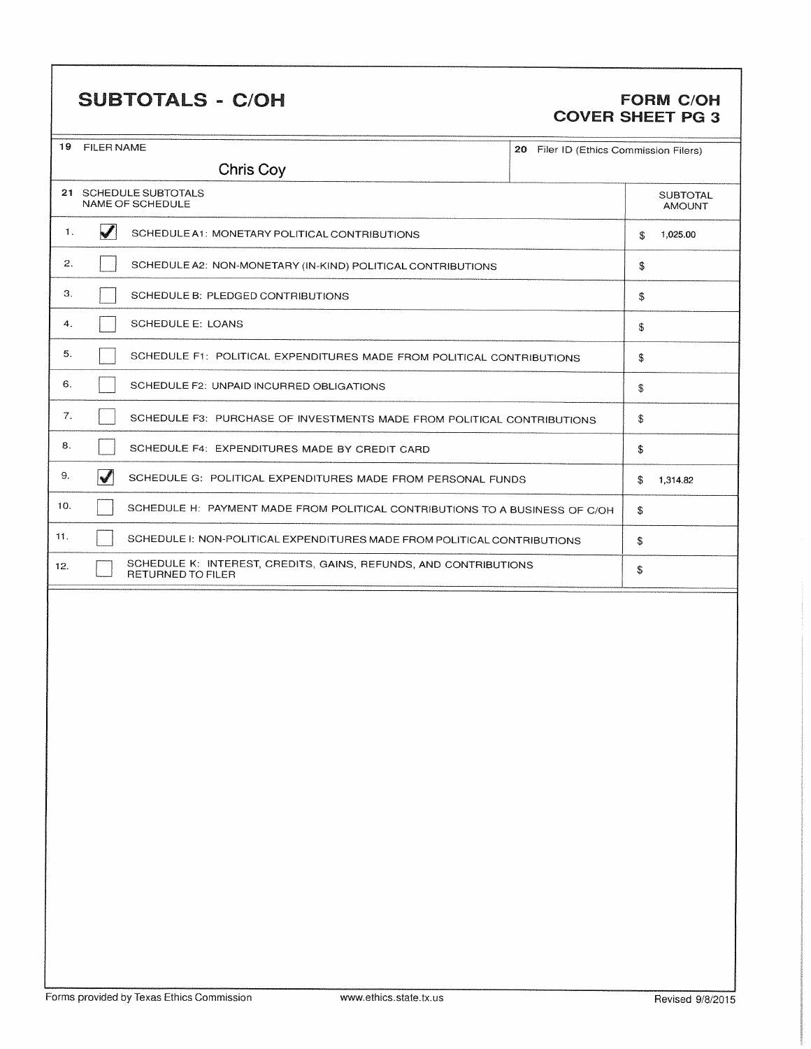## SUBTOTALS - C/OH FORM C/OH

# COVER SHEET PG 3

|                       | 19 FILER NAME<br>20 Filer ID (Ethics Commission Filers)<br>Chris Coy                  |                                                                        |  |    |          |  |  |
|-----------------------|---------------------------------------------------------------------------------------|------------------------------------------------------------------------|--|----|----------|--|--|
| 21 SCHEDULE SUBTOTALS |                                                                                       | <b>SUBTOTAL</b>                                                        |  |    |          |  |  |
|                       | \$                                                                                    | <b>AMOUNT</b><br>1,025.00                                              |  |    |          |  |  |
|                       | V<br>1.<br>SCHEDULE A1: MONETARY POLITICAL CONTRIBUTIONS                              |                                                                        |  |    |          |  |  |
|                       | 2.<br>SCHEDULE A2: NON-MONETARY (IN-KIND) POLITICAL CONTRIBUTIONS                     |                                                                        |  |    |          |  |  |
|                       | З.<br>SCHEDULE B: PLEDGED CONTRIBUTIONS                                               |                                                                        |  |    |          |  |  |
| 4.                    | <b>SCHEDULE E: LOANS</b>                                                              |                                                                        |  |    |          |  |  |
| 5.                    |                                                                                       | SCHEDULE F1: POLITICAL EXPENDITURES MADE FROM POLITICAL CONTRIBUTIONS  |  | \$ |          |  |  |
| 6.                    |                                                                                       | SCHEDULE F2: UNPAID INCURRED OBLIGATIONS                               |  | \$ |          |  |  |
| 7.                    |                                                                                       | SCHEDULE F3: PURCHASE OF INVESTMENTS MADE FROM POLITICAL CONTRIBUTIONS |  | \$ |          |  |  |
| 8.                    |                                                                                       | SCHEDULE F4: EXPENDITURES MADE BY CREDIT CARD                          |  | \$ |          |  |  |
| 9.                    | $\blacktriangledown$                                                                  | SCHEDULE G: POLITICAL EXPENDITURES MADE FROM PERSONAL FUNDS            |  | \$ | 1,314.82 |  |  |
| 10.                   | SCHEDULE H: PAYMENT MADE FROM POLITICAL CONTRIBUTIONS TO A BUSINESS OF C/OH           |                                                                        |  |    |          |  |  |
| 11.                   | SCHEDULE I: NON-POLITICAL EXPENDITURES MADE FROM POLITICAL CONTRIBUTIONS              |                                                                        |  |    |          |  |  |
| 12.                   | SCHEDULE K: INTEREST, CREDITS, GAINS, REFUNDS, AND CONTRIBUTIONS<br>RETURNED TO FILER |                                                                        |  |    |          |  |  |
|                       |                                                                                       |                                                                        |  |    |          |  |  |
|                       |                                                                                       |                                                                        |  |    |          |  |  |
|                       |                                                                                       |                                                                        |  |    |          |  |  |
|                       |                                                                                       |                                                                        |  |    |          |  |  |
|                       |                                                                                       |                                                                        |  |    |          |  |  |
|                       |                                                                                       |                                                                        |  |    |          |  |  |
|                       |                                                                                       |                                                                        |  |    |          |  |  |
|                       |                                                                                       |                                                                        |  |    |          |  |  |
|                       |                                                                                       |                                                                        |  |    |          |  |  |
|                       |                                                                                       |                                                                        |  |    |          |  |  |
|                       |                                                                                       |                                                                        |  |    |          |  |  |
|                       |                                                                                       |                                                                        |  |    |          |  |  |
|                       |                                                                                       |                                                                        |  |    |          |  |  |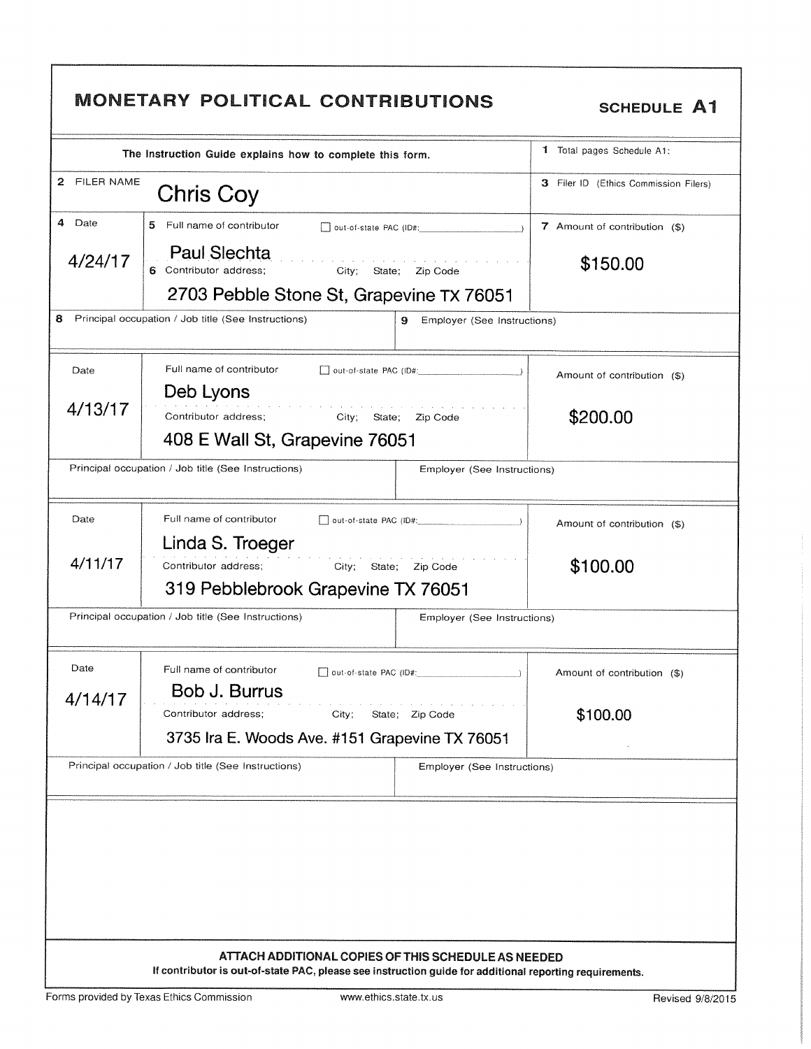|              | The Instruction Guide explains how to complete this form.                 | 1 Total pages Schedule A1:            |
|--------------|---------------------------------------------------------------------------|---------------------------------------|
| 2 FILER NAME | Chris Coy                                                                 | 3 Filer ID (Ethics Commission Filers) |
| 4 Date       | 5.<br>Full name of contributor<br>out-of-state PAC (ID#:                  | 7 Amount of contribution (\$)         |
| 4/24/17      | <b>Paul Slechta</b><br>6 Contributor address;<br>City; State;<br>Zip Code | \$150.00                              |
|              | 2703 Pebble Stone St, Grapevine TX 76051                                  |                                       |
| 8            | Principal occupation / Job title (See Instructions)<br>9                  | Employer (See Instructions)           |
| Date         | Full name of contributor<br>out-of-state PAC (ID#:                        | Amount of contribution (\$)           |
| 4/13/17      | Deb Lyons                                                                 |                                       |
|              | Contributor address;<br>City; State; Zip Code                             | \$200.00                              |
|              | 408 E Wall St, Grapevine 76051                                            |                                       |
|              | Principal occupation / Job title (See Instructions)                       | Employer (See Instructions)           |
| Date         | Full name of contributor<br>out-of-state PAC (ID#:                        | Amount of contribution (\$)           |
|              | Linda S. Troeger                                                          |                                       |
| 4/11/17      | Contributor address:<br>City;<br>State;<br>Zip Code                       | \$100.00                              |
|              | 319 Pebblebrook Grapevine TX 76051                                        |                                       |
|              | Principal occupation / Job title (See Instructions)                       | Employer (See Instructions)           |
| Date         | Full name of contributor<br>out-of-state PAC (ID#:                        | Amount of contribution (\$)           |
| 4/14/17      | Bob J. Burrus                                                             |                                       |
|              | Contributor address;<br>State; Zip Code<br>City;                          | \$100.00                              |
|              | 3735 Ira E. Woods Ave. #151 Grapevine TX 76051                            |                                       |
|              |                                                                           |                                       |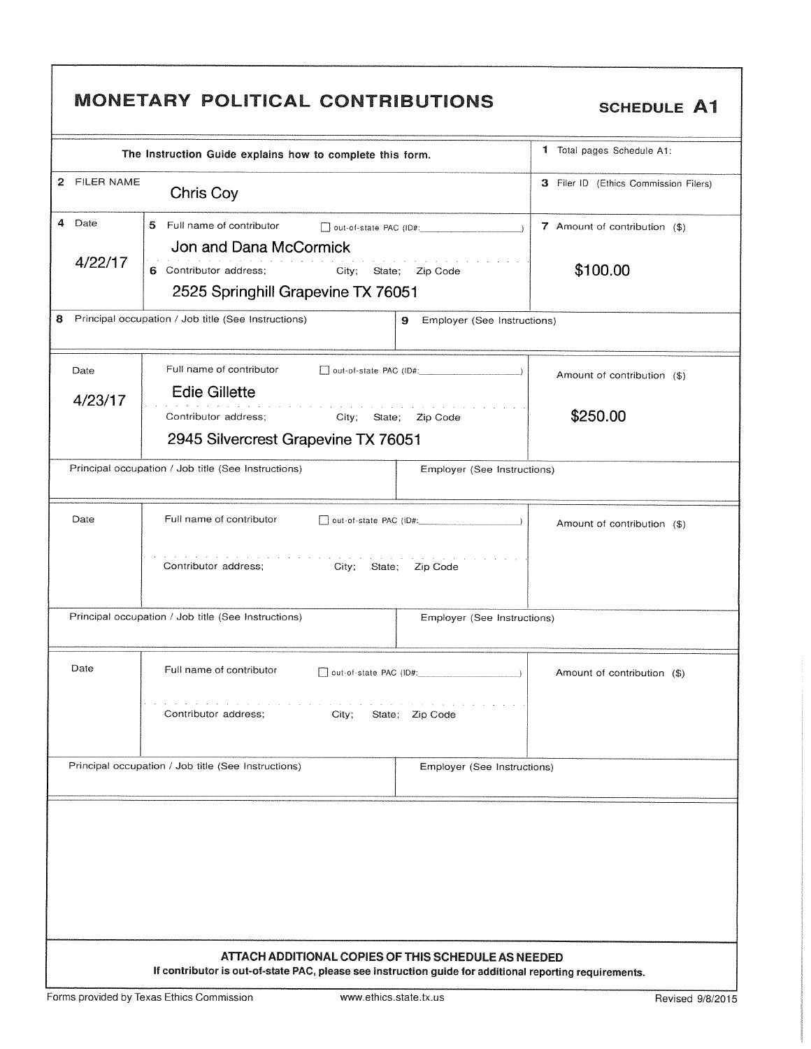|                   | The Instruction Guide explains how to complete this form.                                                   | 1 Total pages Schedule A1:                                 |
|-------------------|-------------------------------------------------------------------------------------------------------------|------------------------------------------------------------|
| 2 FILER NAME      | Chris Coy                                                                                                   | 3 Filer ID (Ethics Commission Filers)                      |
| 4 Date<br>4/22/17 | 5.<br>Full name of contributor<br>Jon and Dana McCormick<br>6 Contributor address;<br>City; State; Zip Code | 7 Amount of contribution (\$)<br>$\rightarrow$<br>\$100.00 |
|                   | 2525 Springhill Grapevine TX 76051                                                                          |                                                            |
|                   | Principal occupation / Job title (See Instructions)<br>9                                                    | Employer (See Instructions)                                |
| Date              | Full name of contributor<br>$\Box$ out-of-state PAC (ID#: $\Box$ )                                          | Amount of contribution (\$)                                |
| 4/23/17           | <b>Edie Gillette</b>                                                                                        |                                                            |
|                   | Contributor address;<br>City; State; Zip Code                                                               | \$250.00                                                   |
|                   | 2945 Silvercrest Grapevine TX 76051                                                                         |                                                            |
|                   | Principal occupation / Job title (See Instructions)                                                         | Employer (See Instructions)                                |
| Date              | Full name of contributor                                                                                    | Amount of contribution (\$)                                |
|                   | the company of the company of<br>Contributor address;<br>City;<br>State;<br>Zip Code                        |                                                            |
|                   | Principal occupation / Job title (See Instructions)                                                         | Employer (See Instructions)                                |
| Date              | Full name of contributor<br>$\Box$ out-of-state PAC (ID#:                                                   | Amount of contribution (\$)                                |
|                   | .<br>Contributor address:<br>City;<br>State; Zip Code                                                       |                                                            |
|                   | Principal occupation / Job title (See Instructions)                                                         | Employer (See Instructions)                                |
|                   |                                                                                                             |                                                            |

 $\mathsf{r}$